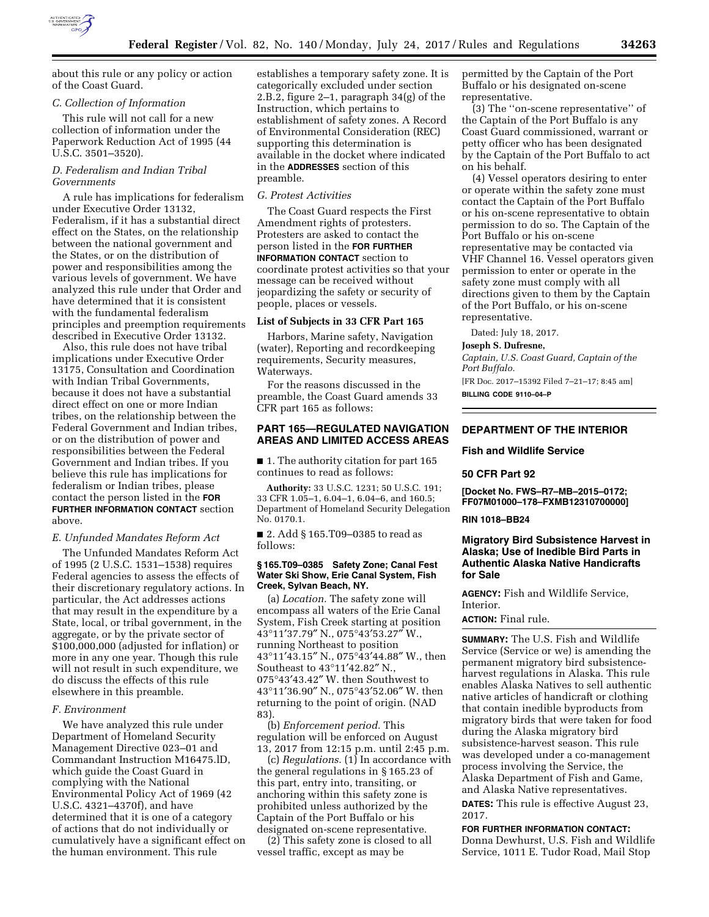

about this rule or any policy or action of the Coast Guard.

# *C. Collection of Information*

This rule will not call for a new collection of information under the Paperwork Reduction Act of 1995 (44 U.S.C. 3501–3520).

# *D. Federalism and Indian Tribal Governments*

A rule has implications for federalism under Executive Order 13132, Federalism, if it has a substantial direct effect on the States, on the relationship between the national government and the States, or on the distribution of power and responsibilities among the various levels of government. We have analyzed this rule under that Order and have determined that it is consistent with the fundamental federalism principles and preemption requirements described in Executive Order 13132.

Also, this rule does not have tribal implications under Executive Order 13175, Consultation and Coordination with Indian Tribal Governments, because it does not have a substantial direct effect on one or more Indian tribes, on the relationship between the Federal Government and Indian tribes, or on the distribution of power and responsibilities between the Federal Government and Indian tribes. If you believe this rule has implications for federalism or Indian tribes, please contact the person listed in the **FOR FURTHER INFORMATION CONTACT** section above.

#### *E. Unfunded Mandates Reform Act*

The Unfunded Mandates Reform Act of 1995 (2 U.S.C. 1531–1538) requires Federal agencies to assess the effects of their discretionary regulatory actions. In particular, the Act addresses actions that may result in the expenditure by a State, local, or tribal government, in the aggregate, or by the private sector of \$100,000,000 (adjusted for inflation) or more in any one year. Though this rule will not result in such expenditure, we do discuss the effects of this rule elsewhere in this preamble.

### *F. Environment*

We have analyzed this rule under Department of Homeland Security Management Directive 023–01 and Commandant Instruction M16475.lD, which guide the Coast Guard in complying with the National Environmental Policy Act of 1969 (42 U.S.C. 4321–4370f), and have determined that it is one of a category of actions that do not individually or cumulatively have a significant effect on the human environment. This rule

establishes a temporary safety zone. It is categorically excluded under section 2.B.2, figure 2–1, paragraph 34(g) of the Instruction, which pertains to establishment of safety zones. A Record of Environmental Consideration (REC) supporting this determination is available in the docket where indicated in the **ADDRESSES** section of this preamble.

# *G. Protest Activities*

The Coast Guard respects the First Amendment rights of protesters. Protesters are asked to contact the person listed in the **FOR FURTHER INFORMATION CONTACT** section to coordinate protest activities so that your message can be received without jeopardizing the safety or security of people, places or vessels.

### **List of Subjects in 33 CFR Part 165**

Harbors, Marine safety, Navigation (water), Reporting and recordkeeping requirements, Security measures, Waterways.

For the reasons discussed in the preamble, the Coast Guard amends 33 CFR part 165 as follows:

### **PART 165—REGULATED NAVIGATION AREAS AND LIMITED ACCESS AREAS**

■ 1. The authority citation for part 165 continues to read as follows:

**Authority:** 33 U.S.C. 1231; 50 U.S.C. 191; 33 CFR 1.05–1, 6.04–1, 6.04–6, and 160.5; Department of Homeland Security Delegation No. 0170.1.

■ 2. Add § 165.T09-0385 to read as follows:

### **§ 165.T09–0385 Safety Zone; Canal Fest Water Ski Show, Erie Canal System, Fish Creek, Sylvan Beach, NY.**

(a) *Location.* The safety zone will encompass all waters of the Erie Canal System, Fish Creek starting at position 43°11′37.79″ N., 075°43′53.27″ W., running Northeast to position 43°11′43.15″ N., 075°43′44.88″ W., then Southeast to 43°11′42.82″ N., 075°43′43.42″ W. then Southwest to 43°11′36.90″ N., 075°43′52.06″ W. then returning to the point of origin. (NAD 83).

(b) *Enforcement period.* This regulation will be enforced on August 13, 2017 from 12:15 p.m. until 2:45 p.m.

(c) *Regulations.* (1) In accordance with the general regulations in § 165.23 of this part, entry into, transiting, or anchoring within this safety zone is prohibited unless authorized by the Captain of the Port Buffalo or his designated on-scene representative.

(2) This safety zone is closed to all vessel traffic, except as may be

permitted by the Captain of the Port Buffalo or his designated on-scene representative.

(3) The ''on-scene representative'' of the Captain of the Port Buffalo is any Coast Guard commissioned, warrant or petty officer who has been designated by the Captain of the Port Buffalo to act on his behalf.

(4) Vessel operators desiring to enter or operate within the safety zone must contact the Captain of the Port Buffalo or his on-scene representative to obtain permission to do so. The Captain of the Port Buffalo or his on-scene representative may be contacted via VHF Channel 16. Vessel operators given permission to enter or operate in the safety zone must comply with all directions given to them by the Captain of the Port Buffalo, or his on-scene representative.

Dated: July 18, 2017.

#### **Joseph S. Dufresne,**

*Captain, U.S. Coast Guard, Captain of the Port Buffalo.* 

[FR Doc. 2017–15392 Filed 7–21–17; 8:45 am] **BILLING CODE 9110–04–P** 

# **DEPARTMENT OF THE INTERIOR**

### **Fish and Wildlife Service**

#### **50 CFR Part 92**

**[Docket No. FWS–R7–MB–2015–0172; FF07M01000–178–FXMB12310700000]** 

#### **RIN 1018–BB24**

# **Migratory Bird Subsistence Harvest in Alaska; Use of Inedible Bird Parts in Authentic Alaska Native Handicrafts for Sale**

**AGENCY:** Fish and Wildlife Service, Interior.

# **ACTION:** Final rule.

**SUMMARY:** The U.S. Fish and Wildlife Service (Service or we) is amending the permanent migratory bird subsistenceharvest regulations in Alaska. This rule enables Alaska Natives to sell authentic native articles of handicraft or clothing that contain inedible byproducts from migratory birds that were taken for food during the Alaska migratory bird subsistence-harvest season. This rule was developed under a co-management process involving the Service, the Alaska Department of Fish and Game, and Alaska Native representatives. **DATES:** This rule is effective August 23, 2017.

**FOR FURTHER INFORMATION CONTACT:**  Donna Dewhurst, U.S. Fish and Wildlife Service, 1011 E. Tudor Road, Mail Stop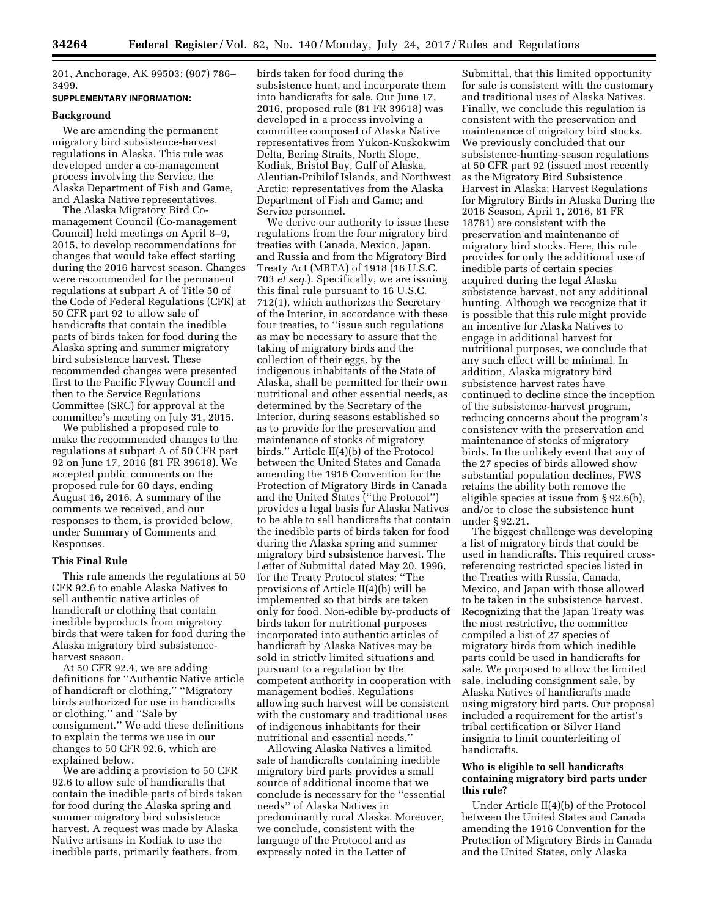201, Anchorage, AK 99503; (907) 786– 3499.

# **SUPPLEMENTARY INFORMATION:**

#### **Background**

We are amending the permanent migratory bird subsistence-harvest regulations in Alaska. This rule was developed under a co-management process involving the Service, the Alaska Department of Fish and Game, and Alaska Native representatives.

The Alaska Migratory Bird Comanagement Council (Co-management Council) held meetings on April 8–9, 2015, to develop recommendations for changes that would take effect starting during the 2016 harvest season. Changes were recommended for the permanent regulations at subpart A of Title 50 of the Code of Federal Regulations (CFR) at 50 CFR part 92 to allow sale of handicrafts that contain the inedible parts of birds taken for food during the Alaska spring and summer migratory bird subsistence harvest. These recommended changes were presented first to the Pacific Flyway Council and then to the Service Regulations Committee (SRC) for approval at the committee's meeting on July 31, 2015.

We published a proposed rule to make the recommended changes to the regulations at subpart A of 50 CFR part 92 on June 17, 2016 (81 FR 39618). We accepted public comments on the proposed rule for 60 days, ending August 16, 2016. A summary of the comments we received, and our responses to them, is provided below, under Summary of Comments and Responses.

### **This Final Rule**

This rule amends the regulations at 50 CFR 92.6 to enable Alaska Natives to sell authentic native articles of handicraft or clothing that contain inedible byproducts from migratory birds that were taken for food during the Alaska migratory bird subsistenceharvest season.

At 50 CFR 92.4, we are adding definitions for ''Authentic Native article of handicraft or clothing,'' ''Migratory birds authorized for use in handicrafts or clothing,'' and ''Sale by consignment.'' We add these definitions to explain the terms we use in our changes to 50 CFR 92.6, which are explained below.

We are adding a provision to 50 CFR 92.6 to allow sale of handicrafts that contain the inedible parts of birds taken for food during the Alaska spring and summer migratory bird subsistence harvest. A request was made by Alaska Native artisans in Kodiak to use the inedible parts, primarily feathers, from

birds taken for food during the subsistence hunt, and incorporate them into handicrafts for sale. Our June 17, 2016, proposed rule (81 FR 39618) was developed in a process involving a committee composed of Alaska Native representatives from Yukon-Kuskokwim Delta, Bering Straits, North Slope, Kodiak, Bristol Bay, Gulf of Alaska, Aleutian-Pribilof Islands, and Northwest Arctic; representatives from the Alaska Department of Fish and Game; and Service personnel.

We derive our authority to issue these regulations from the four migratory bird treaties with Canada, Mexico, Japan, and Russia and from the Migratory Bird Treaty Act (MBTA) of 1918 (16 U.S.C. 703 *et seq.*). Specifically, we are issuing this final rule pursuant to 16 U.S.C. 712(1), which authorizes the Secretary of the Interior, in accordance with these four treaties, to ''issue such regulations as may be necessary to assure that the taking of migratory birds and the collection of their eggs, by the indigenous inhabitants of the State of Alaska, shall be permitted for their own nutritional and other essential needs, as determined by the Secretary of the Interior, during seasons established so as to provide for the preservation and maintenance of stocks of migratory birds.'' Article II(4)(b) of the Protocol between the United States and Canada amending the 1916 Convention for the Protection of Migratory Birds in Canada and the United States (''the Protocol'') provides a legal basis for Alaska Natives to be able to sell handicrafts that contain the inedible parts of birds taken for food during the Alaska spring and summer migratory bird subsistence harvest. The Letter of Submittal dated May 20, 1996, for the Treaty Protocol states: ''The provisions of Article II(4)(b) will be implemented so that birds are taken only for food. Non-edible by-products of birds taken for nutritional purposes incorporated into authentic articles of handicraft by Alaska Natives may be sold in strictly limited situations and pursuant to a regulation by the competent authority in cooperation with management bodies. Regulations allowing such harvest will be consistent with the customary and traditional uses of indigenous inhabitants for their nutritional and essential needs.''

Allowing Alaska Natives a limited sale of handicrafts containing inedible migratory bird parts provides a small source of additional income that we conclude is necessary for the ''essential needs'' of Alaska Natives in predominantly rural Alaska. Moreover, we conclude, consistent with the language of the Protocol and as expressly noted in the Letter of

Submittal, that this limited opportunity for sale is consistent with the customary and traditional uses of Alaska Natives. Finally, we conclude this regulation is consistent with the preservation and maintenance of migratory bird stocks. We previously concluded that our subsistence-hunting-season regulations at 50 CFR part 92 (issued most recently as the Migratory Bird Subsistence Harvest in Alaska; Harvest Regulations for Migratory Birds in Alaska During the 2016 Season, April 1, 2016, 81 FR 18781) are consistent with the preservation and maintenance of migratory bird stocks. Here, this rule provides for only the additional use of inedible parts of certain species acquired during the legal Alaska subsistence harvest, not any additional hunting. Although we recognize that it is possible that this rule might provide an incentive for Alaska Natives to engage in additional harvest for nutritional purposes, we conclude that any such effect will be minimal. In addition, Alaska migratory bird subsistence harvest rates have continued to decline since the inception of the subsistence-harvest program, reducing concerns about the program's consistency with the preservation and maintenance of stocks of migratory birds. In the unlikely event that any of the 27 species of birds allowed show substantial population declines, FWS retains the ability both remove the eligible species at issue from § 92.6(b), and/or to close the subsistence hunt under § 92.21.

The biggest challenge was developing a list of migratory birds that could be used in handicrafts. This required crossreferencing restricted species listed in the Treaties with Russia, Canada, Mexico, and Japan with those allowed to be taken in the subsistence harvest. Recognizing that the Japan Treaty was the most restrictive, the committee compiled a list of 27 species of migratory birds from which inedible parts could be used in handicrafts for sale. We proposed to allow the limited sale, including consignment sale, by Alaska Natives of handicrafts made using migratory bird parts. Our proposal included a requirement for the artist's tribal certification or Silver Hand insignia to limit counterfeiting of handicrafts.

# **Who is eligible to sell handicrafts containing migratory bird parts under this rule?**

Under Article II(4)(b) of the Protocol between the United States and Canada amending the 1916 Convention for the Protection of Migratory Birds in Canada and the United States, only Alaska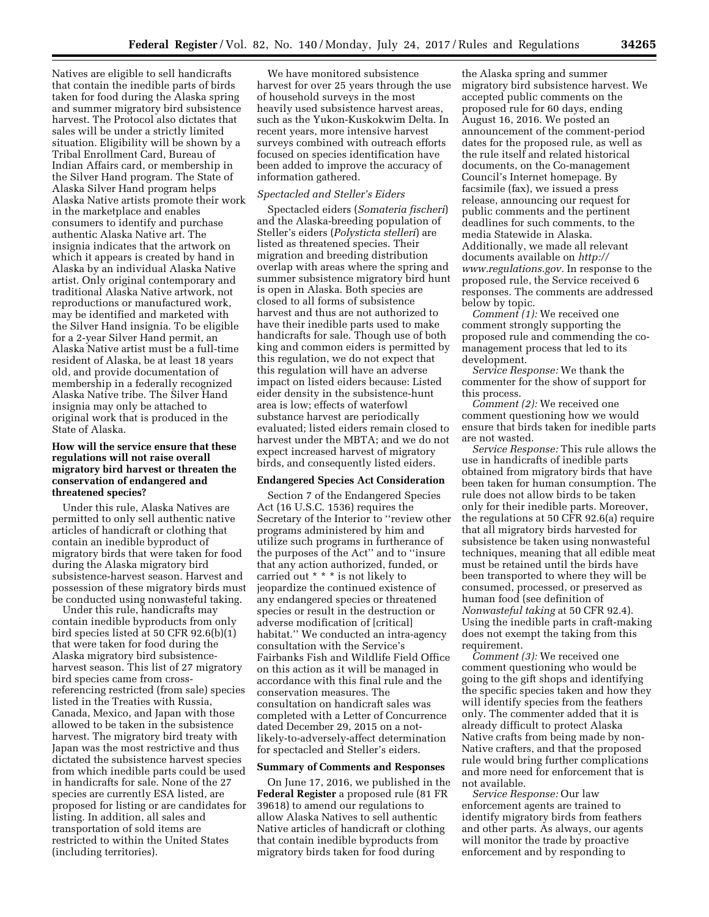Natives are eligible to sell handicrafts that contain the inedible parts of birds taken for food during the Alaska spring and summer migratory bird subsistence harvest. The Protocol also dictates that sales will be under a strictly limited situation. Eligibility will be shown by a Tribal Enrollment Card, Bureau of Indian Affairs card, or membership in the Silver Hand program. The State of Alaska Silver Hand program helps Alaska Native artists promote their work in the marketplace and enables consumers to identify and purchase authentic Alaska Native art. The insignia indicates that the artwork on which it appears is created by hand in Alaska by an individual Alaska Native artist. Only original contemporary and traditional Alaska Native artwork, not reproductions or manufactured work, may be identified and marketed with the Silver Hand insignia. To be eligible for a 2-year Silver Hand permit, an Alaska Native artist must be a full-time resident of Alaska, be at least 18 years old, and provide documentation of membership in a federally recognized Alaska Native tribe. The Silver Hand insignia may only be attached to original work that is produced in the State of Alaska.

# **How will the service ensure that these regulations will not raise overall migratory bird harvest or threaten the conservation of endangered and threatened species?**

Under this rule, Alaska Natives are permitted to only sell authentic native articles of handicraft or clothing that contain an inedible byproduct of migratory birds that were taken for food during the Alaska migratory bird subsistence-harvest season. Harvest and possession of these migratory birds must be conducted using nonwasteful taking.

Under this rule, handicrafts may contain inedible byproducts from only bird species listed at 50 CFR 92.6(b)(1) that were taken for food during the Alaska migratory bird subsistenceharvest season. This list of 27 migratory bird species came from crossreferencing restricted (from sale) species listed in the Treaties with Russia, Canada, Mexico, and Japan with those allowed to be taken in the subsistence harvest. The migratory bird treaty with Japan was the most restrictive and thus dictated the subsistence harvest species from which inedible parts could be used in handicrafts for sale. None of the 27 species are currently ESA listed, are proposed for listing or are candidates for listing. In addition, all sales and transportation of sold items are restricted to within the United States (including territories).

We have monitored subsistence harvest for over 25 years through the use of household surveys in the most heavily used subsistence harvest areas, such as the Yukon-Kuskokwim Delta. In recent years, more intensive harvest surveys combined with outreach efforts focused on species identification have been added to improve the accuracy of information gathered.

### *Spectacled and Steller's Eiders*

Spectacled eiders (*Somateria fischeri*) and the Alaska-breeding population of Steller's eiders (*Polysticta stelleri*) are listed as threatened species. Their migration and breeding distribution overlap with areas where the spring and summer subsistence migratory bird hunt is open in Alaska. Both species are closed to all forms of subsistence harvest and thus are not authorized to have their inedible parts used to make handicrafts for sale. Though use of both king and common eiders is permitted by this regulation, we do not expect that this regulation will have an adverse impact on listed eiders because: Listed eider density in the subsistence-hunt area is low; effects of waterfowl substance harvest are periodically evaluated; listed eiders remain closed to harvest under the MBTA; and we do not expect increased harvest of migratory birds, and consequently listed eiders.

### **Endangered Species Act Consideration**

Section 7 of the Endangered Species Act (16 U.S.C. 1536) requires the Secretary of the Interior to ''review other programs administered by him and utilize such programs in furtherance of the purposes of the Act'' and to ''insure that any action authorized, funded, or carried out \* \* \* is not likely to jeopardize the continued existence of any endangered species or threatened species or result in the destruction or adverse modification of [critical] habitat.'' We conducted an intra-agency consultation with the Service's Fairbanks Fish and Wildlife Field Office on this action as it will be managed in accordance with this final rule and the conservation measures. The consultation on handicraft sales was completed with a Letter of Concurrence dated December 29, 2015 on a notlikely-to-adversely-affect determination for spectacled and Steller's eiders.

### **Summary of Comments and Responses**

On June 17, 2016, we published in the **Federal Register** a proposed rule (81 FR 39618) to amend our regulations to allow Alaska Natives to sell authentic Native articles of handicraft or clothing that contain inedible byproducts from migratory birds taken for food during

the Alaska spring and summer migratory bird subsistence harvest. We accepted public comments on the proposed rule for 60 days, ending August 16, 2016. We posted an announcement of the comment-period dates for the proposed rule, as well as the rule itself and related historical documents, on the Co-management Council's Internet homepage. By facsimile (fax), we issued a press release, announcing our request for public comments and the pertinent deadlines for such comments, to the media Statewide in Alaska. Additionally, we made all relevant documents available on *[http://](http://www.regulations.gov) [www.regulations.gov.](http://www.regulations.gov)* In response to the proposed rule, the Service received 6 responses. The comments are addressed below by topic.

*Comment (1):* We received one comment strongly supporting the proposed rule and commending the comanagement process that led to its development.

*Service Response:* We thank the commenter for the show of support for this process.

*Comment (2):* We received one comment questioning how we would ensure that birds taken for inedible parts are not wasted.

*Service Response:* This rule allows the use in handicrafts of inedible parts obtained from migratory birds that have been taken for human consumption. The rule does not allow birds to be taken only for their inedible parts. Moreover, the regulations at 50 CFR 92.6(a) require that all migratory birds harvested for subsistence be taken using nonwasteful techniques, meaning that all edible meat must be retained until the birds have been transported to where they will be consumed, processed, or preserved as human food (see definition of *Nonwasteful taking* at 50 CFR 92.4). Using the inedible parts in craft-making does not exempt the taking from this requirement.

*Comment (3):* We received one comment questioning who would be going to the gift shops and identifying the specific species taken and how they will identify species from the feathers only. The commenter added that it is already difficult to protect Alaska Native crafts from being made by non-Native crafters, and that the proposed rule would bring further complications and more need for enforcement that is not available.

*Service Response:* Our law enforcement agents are trained to identify migratory birds from feathers and other parts. As always, our agents will monitor the trade by proactive enforcement and by responding to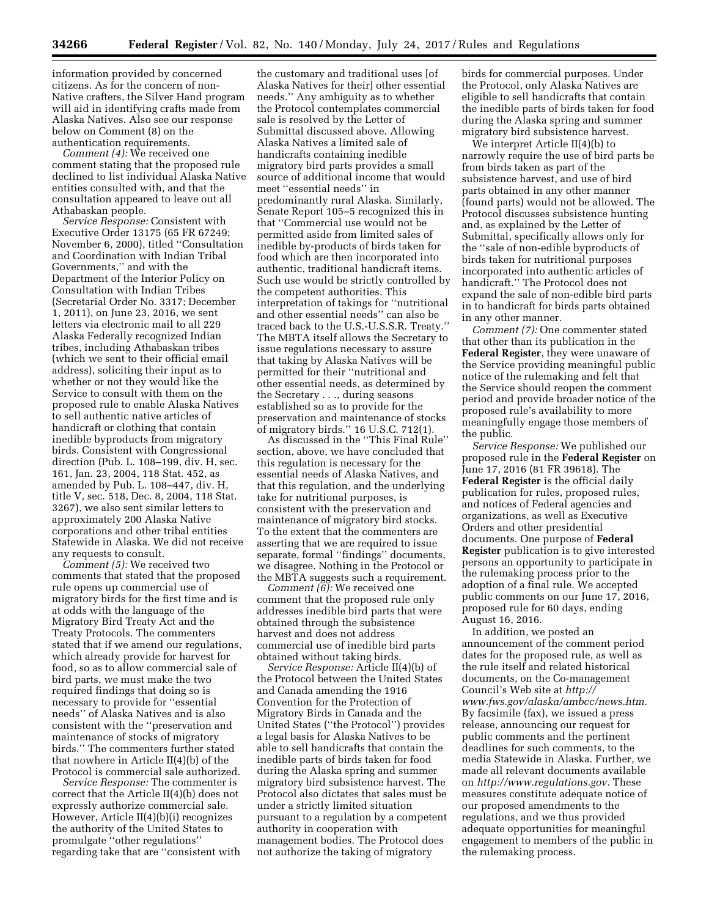information provided by concerned citizens. As for the concern of non-Native crafters, the Silver Hand program will aid in identifying crafts made from Alaska Natives. Also see our response below on Comment (8) on the authentication requirements.

*Comment (4):* We received one comment stating that the proposed rule declined to list individual Alaska Native entities consulted with, and that the consultation appeared to leave out all Athabaskan people.

*Service Response:* Consistent with Executive Order 13175 (65 FR 67249; November 6, 2000), titled ''Consultation and Coordination with Indian Tribal Governments,'' and with the Department of the Interior Policy on Consultation with Indian Tribes (Secretarial Order No. 3317; December 1, 2011), on June 23, 2016, we sent letters via electronic mail to all 229 Alaska Federally recognized Indian tribes, including Athabaskan tribes (which we sent to their official email address), soliciting their input as to whether or not they would like the Service to consult with them on the proposed rule to enable Alaska Natives to sell authentic native articles of handicraft or clothing that contain inedible byproducts from migratory birds. Consistent with Congressional direction (Pub. L. 108–199, div. H, sec. 161, Jan. 23, 2004, 118 Stat. 452, as amended by Pub. L. 108–447, div. H, title V, sec. 518, Dec. 8, 2004, 118 Stat. 3267), we also sent similar letters to approximately 200 Alaska Native corporations and other tribal entities Statewide in Alaska. We did not receive any requests to consult.

*Comment (5):* We received two comments that stated that the proposed rule opens up commercial use of migratory birds for the first time and is at odds with the language of the Migratory Bird Treaty Act and the Treaty Protocols. The commenters stated that if we amend our regulations, which already provide for harvest for food, so as to allow commercial sale of bird parts, we must make the two required findings that doing so is necessary to provide for ''essential needs'' of Alaska Natives and is also consistent with the ''preservation and maintenance of stocks of migratory birds.'' The commenters further stated that nowhere in Article II(4)(b) of the Protocol is commercial sale authorized.

*Service Response:* The commenter is correct that the Article II(4)(b) does not expressly authorize commercial sale. However, Article II(4)(b)(i) recognizes the authority of the United States to promulgate ''other regulations'' regarding take that are ''consistent with

the customary and traditional uses [of Alaska Natives for their] other essential needs.'' Any ambiguity as to whether the Protocol contemplates commercial sale is resolved by the Letter of Submittal discussed above. Allowing Alaska Natives a limited sale of handicrafts containing inedible migratory bird parts provides a small source of additional income that would meet ''essential needs'' in predominantly rural Alaska. Similarly, Senate Report 105–5 recognized this in that ''Commercial use would not be permitted aside from limited sales of inedible by-products of birds taken for food which are then incorporated into authentic, traditional handicraft items. Such use would be strictly controlled by the competent authorities. This interpretation of takings for ''nutritional and other essential needs'' can also be traced back to the U.S.-U.S.S.R. Treaty.'' The MBTA itself allows the Secretary to issue regulations necessary to assure that taking by Alaska Natives will be permitted for their ''nutritional and other essential needs, as determined by the Secretary . . ., during seasons established so as to provide for the preservation and maintenance of stocks of migratory birds.'' 16 U.S.C. 712(1).

As discussed in the ''This Final Rule'' section, above, we have concluded that this regulation is necessary for the essential needs of Alaska Natives, and that this regulation, and the underlying take for nutritional purposes, is consistent with the preservation and maintenance of migratory bird stocks. To the extent that the commenters are asserting that we are required to issue separate, formal ''findings'' documents, we disagree. Nothing in the Protocol or the MBTA suggests such a requirement.

*Comment (6):* We received one comment that the proposed rule only addresses inedible bird parts that were obtained through the subsistence harvest and does not address commercial use of inedible bird parts obtained without taking birds.

*Service Response:* Article II(4)(b) of the Protocol between the United States and Canada amending the 1916 Convention for the Protection of Migratory Birds in Canada and the United States (''the Protocol'') provides a legal basis for Alaska Natives to be able to sell handicrafts that contain the inedible parts of birds taken for food during the Alaska spring and summer migratory bird subsistence harvest. The Protocol also dictates that sales must be under a strictly limited situation pursuant to a regulation by a competent authority in cooperation with management bodies. The Protocol does not authorize the taking of migratory

birds for commercial purposes. Under the Protocol, only Alaska Natives are eligible to sell handicrafts that contain the inedible parts of birds taken for food during the Alaska spring and summer migratory bird subsistence harvest.

We interpret Article II(4)(b) to narrowly require the use of bird parts be from birds taken as part of the subsistence harvest, and use of bird parts obtained in any other manner (found parts) would not be allowed. The Protocol discusses subsistence hunting and, as explained by the Letter of Submittal, specifically allows only for the ''sale of non-edible byproducts of birds taken for nutritional purposes incorporated into authentic articles of handicraft.'' The Protocol does not expand the sale of non-edible bird parts in to handicraft for birds parts obtained in any other manner.

*Comment (7):* One commenter stated that other than its publication in the **Federal Register**, they were unaware of the Service providing meaningful public notice of the rulemaking and felt that the Service should reopen the comment period and provide broader notice of the proposed rule's availability to more meaningfully engage those members of the public.

*Service Response:* We published our proposed rule in the **Federal Register** on June 17, 2016 (81 FR 39618). The **Federal Register** is the official daily publication for rules, proposed rules, and notices of Federal agencies and organizations, as well as Executive Orders and other presidential documents. One purpose of **Federal Register** publication is to give interested persons an opportunity to participate in the rulemaking process prior to the adoption of a final rule. We accepted public comments on our June 17, 2016, proposed rule for 60 days, ending August 16, 2016.

In addition, we posted an announcement of the comment period dates for the proposed rule, as well as the rule itself and related historical documents, on the Co-management Council's Web site at *[http://](http://www.fws.gov/alaska/ambcc/news.htm) [www.fws.gov/alaska/ambcc/news.htm.](http://www.fws.gov/alaska/ambcc/news.htm)*  By facsimile (fax), we issued a press release, announcing our request for public comments and the pertinent deadlines for such comments, to the media Statewide in Alaska. Further, we made all relevant documents available on *[http://www.regulations.gov.](http://www.regulations.gov)* These measures constitute adequate notice of our proposed amendments to the regulations, and we thus provided adequate opportunities for meaningful engagement to members of the public in the rulemaking process.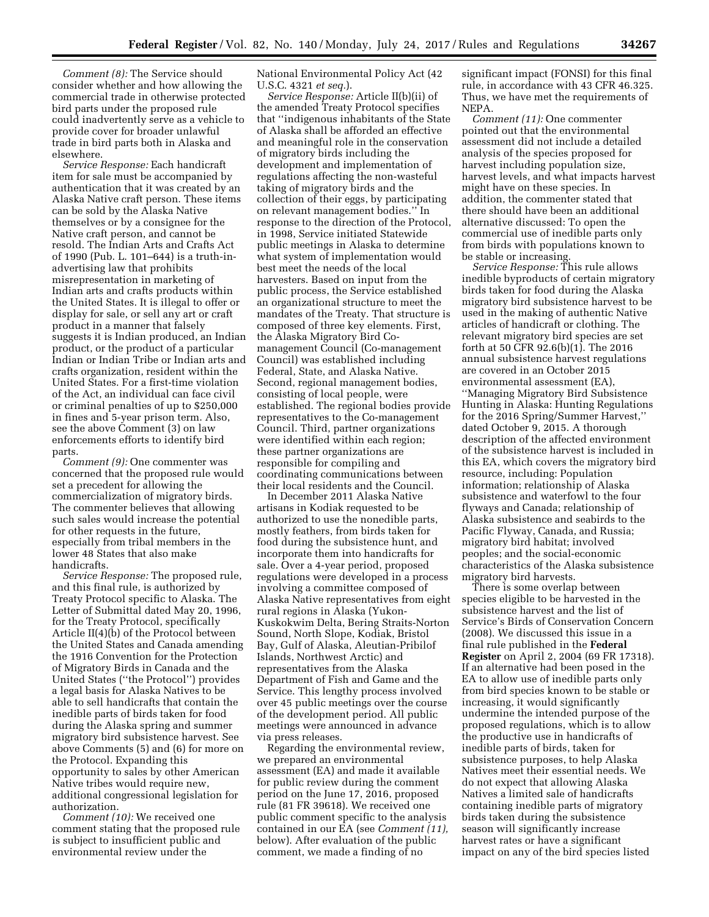*Comment (8):* The Service should consider whether and how allowing the commercial trade in otherwise protected bird parts under the proposed rule could inadvertently serve as a vehicle to provide cover for broader unlawful trade in bird parts both in Alaska and elsewhere.

*Service Response:* Each handicraft item for sale must be accompanied by authentication that it was created by an Alaska Native craft person. These items can be sold by the Alaska Native themselves or by a consignee for the Native craft person, and cannot be resold. The Indian Arts and Crafts Act of 1990 (Pub. L. 101–644) is a truth-inadvertising law that prohibits misrepresentation in marketing of Indian arts and crafts products within the United States. It is illegal to offer or display for sale, or sell any art or craft product in a manner that falsely suggests it is Indian produced, an Indian product, or the product of a particular Indian or Indian Tribe or Indian arts and crafts organization, resident within the United States. For a first-time violation of the Act, an individual can face civil or criminal penalties of up to \$250,000 in fines and 5-year prison term. Also, see the above Comment (3) on law enforcements efforts to identify bird parts.

*Comment (9):* One commenter was concerned that the proposed rule would set a precedent for allowing the commercialization of migratory birds. The commenter believes that allowing such sales would increase the potential for other requests in the future, especially from tribal members in the lower 48 States that also make handicrafts.

*Service Response:* The proposed rule, and this final rule, is authorized by Treaty Protocol specific to Alaska. The Letter of Submittal dated May 20, 1996, for the Treaty Protocol, specifically Article II(4)(b) of the Protocol between the United States and Canada amending the 1916 Convention for the Protection of Migratory Birds in Canada and the United States (''the Protocol'') provides a legal basis for Alaska Natives to be able to sell handicrafts that contain the inedible parts of birds taken for food during the Alaska spring and summer migratory bird subsistence harvest. See above Comments (5) and (6) for more on the Protocol. Expanding this opportunity to sales by other American Native tribes would require new, additional congressional legislation for authorization.

*Comment (10):* We received one comment stating that the proposed rule is subject to insufficient public and environmental review under the

National Environmental Policy Act (42 U.S.C. 4321 *et seq.*).

*Service Response:* Article II(b)(ii) of the amended Treaty Protocol specifies that ''indigenous inhabitants of the State of Alaska shall be afforded an effective and meaningful role in the conservation of migratory birds including the development and implementation of regulations affecting the non-wasteful taking of migratory birds and the collection of their eggs, by participating on relevant management bodies.'' In response to the direction of the Protocol, in 1998, Service initiated Statewide public meetings in Alaska to determine what system of implementation would best meet the needs of the local harvesters. Based on input from the public process, the Service established an organizational structure to meet the mandates of the Treaty. That structure is composed of three key elements. First, the Alaska Migratory Bird Comanagement Council (Co-management Council) was established including Federal, State, and Alaska Native. Second, regional management bodies, consisting of local people, were established. The regional bodies provide representatives to the Co-management Council. Third, partner organizations were identified within each region; these partner organizations are responsible for compiling and coordinating communications between their local residents and the Council.

In December 2011 Alaska Native artisans in Kodiak requested to be authorized to use the nonedible parts, mostly feathers, from birds taken for food during the subsistence hunt, and incorporate them into handicrafts for sale. Over a 4-year period, proposed regulations were developed in a process involving a committee composed of Alaska Native representatives from eight rural regions in Alaska (Yukon-Kuskokwim Delta, Bering Straits-Norton Sound, North Slope, Kodiak, Bristol Bay, Gulf of Alaska, Aleutian-Pribilof Islands, Northwest Arctic) and representatives from the Alaska Department of Fish and Game and the Service. This lengthy process involved over 45 public meetings over the course of the development period. All public meetings were announced in advance via press releases.

Regarding the environmental review, we prepared an environmental assessment (EA) and made it available for public review during the comment period on the June 17, 2016, proposed rule (81 FR 39618). We received one public comment specific to the analysis contained in our EA (see *Comment (11),*  below). After evaluation of the public comment, we made a finding of no

significant impact (FONSI) for this final rule, in accordance with 43 CFR 46.325. Thus, we have met the requirements of NEPA.

*Comment (11):* One commenter pointed out that the environmental assessment did not include a detailed analysis of the species proposed for harvest including population size, harvest levels, and what impacts harvest might have on these species. In addition, the commenter stated that there should have been an additional alternative discussed: To open the commercial use of inedible parts only from birds with populations known to be stable or increasing.

*Service Response:* This rule allows inedible byproducts of certain migratory birds taken for food during the Alaska migratory bird subsistence harvest to be used in the making of authentic Native articles of handicraft or clothing. The relevant migratory bird species are set forth at 50 CFR 92.6(b)(1). The 2016 annual subsistence harvest regulations are covered in an October 2015 environmental assessment (EA), ''Managing Migratory Bird Subsistence Hunting in Alaska: Hunting Regulations for the 2016 Spring/Summer Harvest,'' dated October 9, 2015. A thorough description of the affected environment of the subsistence harvest is included in this EA, which covers the migratory bird resource, including: Population information; relationship of Alaska subsistence and waterfowl to the four flyways and Canada; relationship of Alaska subsistence and seabirds to the Pacific Flyway, Canada, and Russia; migratory bird habitat; involved peoples; and the social-economic characteristics of the Alaska subsistence migratory bird harvests.

There is some overlap between species eligible to be harvested in the subsistence harvest and the list of Service's Birds of Conservation Concern (2008). We discussed this issue in a final rule published in the **Federal Register** on April 2, 2004 (69 FR 17318). If an alternative had been posed in the EA to allow use of inedible parts only from bird species known to be stable or increasing, it would significantly undermine the intended purpose of the proposed regulations, which is to allow the productive use in handicrafts of inedible parts of birds, taken for subsistence purposes, to help Alaska Natives meet their essential needs. We do not expect that allowing Alaska Natives a limited sale of handicrafts containing inedible parts of migratory birds taken during the subsistence season will significantly increase harvest rates or have a significant impact on any of the bird species listed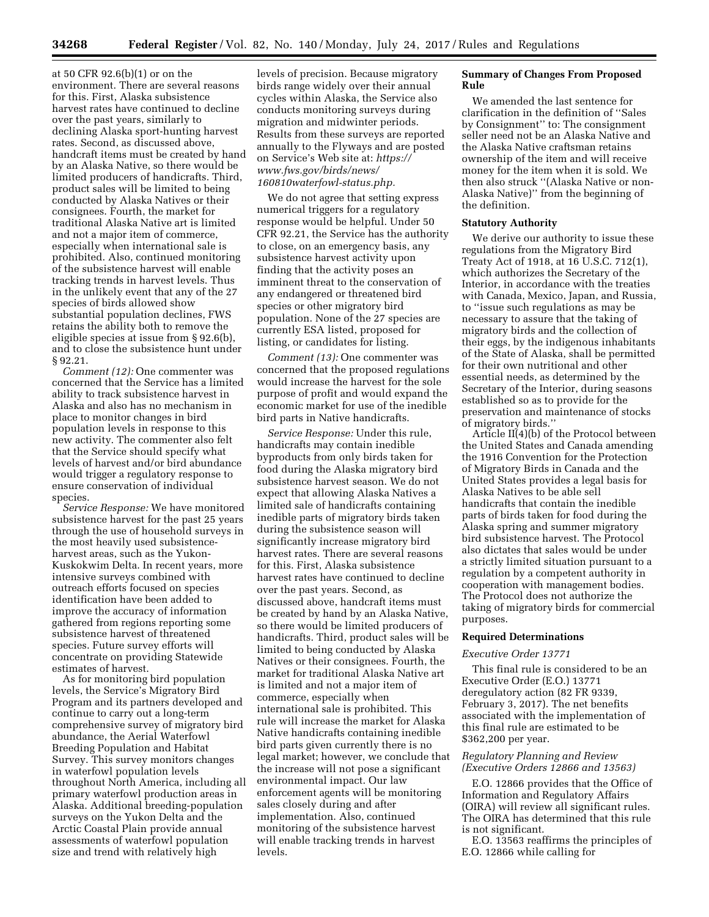at 50 CFR 92.6(b)(1) or on the environment. There are several reasons for this. First, Alaska subsistence harvest rates have continued to decline over the past years, similarly to declining Alaska sport-hunting harvest rates. Second, as discussed above, handcraft items must be created by hand by an Alaska Native, so there would be limited producers of handicrafts. Third, product sales will be limited to being conducted by Alaska Natives or their consignees. Fourth, the market for traditional Alaska Native art is limited and not a major item of commerce, especially when international sale is prohibited. Also, continued monitoring of the subsistence harvest will enable tracking trends in harvest levels. Thus in the unlikely event that any of the 27 species of birds allowed show substantial population declines, FWS retains the ability both to remove the eligible species at issue from § 92.6(b), and to close the subsistence hunt under § 92.21.

*Comment (12):* One commenter was concerned that the Service has a limited ability to track subsistence harvest in Alaska and also has no mechanism in place to monitor changes in bird population levels in response to this new activity. The commenter also felt that the Service should specify what levels of harvest and/or bird abundance would trigger a regulatory response to ensure conservation of individual species.

*Service Response:* We have monitored subsistence harvest for the past 25 years through the use of household surveys in the most heavily used subsistenceharvest areas, such as the Yukon-Kuskokwim Delta. In recent years, more intensive surveys combined with outreach efforts focused on species identification have been added to improve the accuracy of information gathered from regions reporting some subsistence harvest of threatened species. Future survey efforts will concentrate on providing Statewide estimates of harvest.

As for monitoring bird population levels, the Service's Migratory Bird Program and its partners developed and continue to carry out a long-term comprehensive survey of migratory bird abundance, the Aerial Waterfowl Breeding Population and Habitat Survey. This survey monitors changes in waterfowl population levels throughout North America, including all primary waterfowl production areas in Alaska. Additional breeding-population surveys on the Yukon Delta and the Arctic Coastal Plain provide annual assessments of waterfowl population size and trend with relatively high

levels of precision. Because migratory birds range widely over their annual cycles within Alaska, the Service also conducts monitoring surveys during migration and midwinter periods. Results from these surveys are reported annually to the Flyways and are posted on Service's Web site at: *[https://](https://www.fws.gov/birds/news/160810waterfowl-status.php) [www.fws.gov/birds/news/](https://www.fws.gov/birds/news/160810waterfowl-status.php)  [160810waterfowl-status.php.](https://www.fws.gov/birds/news/160810waterfowl-status.php)* 

We do not agree that setting express numerical triggers for a regulatory response would be helpful. Under 50 CFR 92.21, the Service has the authority to close, on an emergency basis, any subsistence harvest activity upon finding that the activity poses an imminent threat to the conservation of any endangered or threatened bird species or other migratory bird population. None of the 27 species are currently ESA listed, proposed for listing, or candidates for listing.

*Comment (13):* One commenter was concerned that the proposed regulations would increase the harvest for the sole purpose of profit and would expand the economic market for use of the inedible bird parts in Native handicrafts.

*Service Response:* Under this rule, handicrafts may contain inedible byproducts from only birds taken for food during the Alaska migratory bird subsistence harvest season. We do not expect that allowing Alaska Natives a limited sale of handicrafts containing inedible parts of migratory birds taken during the subsistence season will significantly increase migratory bird harvest rates. There are several reasons for this. First, Alaska subsistence harvest rates have continued to decline over the past years. Second, as discussed above, handcraft items must be created by hand by an Alaska Native, so there would be limited producers of handicrafts. Third, product sales will be limited to being conducted by Alaska Natives or their consignees. Fourth, the market for traditional Alaska Native art is limited and not a major item of commerce, especially when international sale is prohibited. This rule will increase the market for Alaska Native handicrafts containing inedible bird parts given currently there is no legal market; however, we conclude that the increase will not pose a significant environmental impact. Our law enforcement agents will be monitoring sales closely during and after implementation. Also, continued monitoring of the subsistence harvest will enable tracking trends in harvest levels.

### **Summary of Changes From Proposed Rule**

We amended the last sentence for clarification in the definition of ''Sales by Consignment'' to: The consignment seller need not be an Alaska Native and the Alaska Native craftsman retains ownership of the item and will receive money for the item when it is sold. We then also struck ''(Alaska Native or non-Alaska Native)'' from the beginning of the definition.

### **Statutory Authority**

We derive our authority to issue these regulations from the Migratory Bird Treaty Act of 1918, at 16 U.S.C. 712(1), which authorizes the Secretary of the Interior, in accordance with the treaties with Canada, Mexico, Japan, and Russia, to ''issue such regulations as may be necessary to assure that the taking of migratory birds and the collection of their eggs, by the indigenous inhabitants of the State of Alaska, shall be permitted for their own nutritional and other essential needs, as determined by the Secretary of the Interior, during seasons established so as to provide for the preservation and maintenance of stocks of migratory birds.''

Article II(4)(b) of the Protocol between the United States and Canada amending the 1916 Convention for the Protection of Migratory Birds in Canada and the United States provides a legal basis for Alaska Natives to be able sell handicrafts that contain the inedible parts of birds taken for food during the Alaska spring and summer migratory bird subsistence harvest. The Protocol also dictates that sales would be under a strictly limited situation pursuant to a regulation by a competent authority in cooperation with management bodies. The Protocol does not authorize the taking of migratory birds for commercial purposes.

### **Required Determinations**

#### *Executive Order 13771*

This final rule is considered to be an Executive Order (E.O.) 13771 deregulatory action (82 FR 9339, February 3, 2017). The net benefits associated with the implementation of this final rule are estimated to be \$362,200 per year.

## *Regulatory Planning and Review (Executive Orders 12866 and 13563)*

E.O. 12866 provides that the Office of Information and Regulatory Affairs (OIRA) will review all significant rules. The OIRA has determined that this rule is not significant.

E.O. 13563 reaffirms the principles of E.O. 12866 while calling for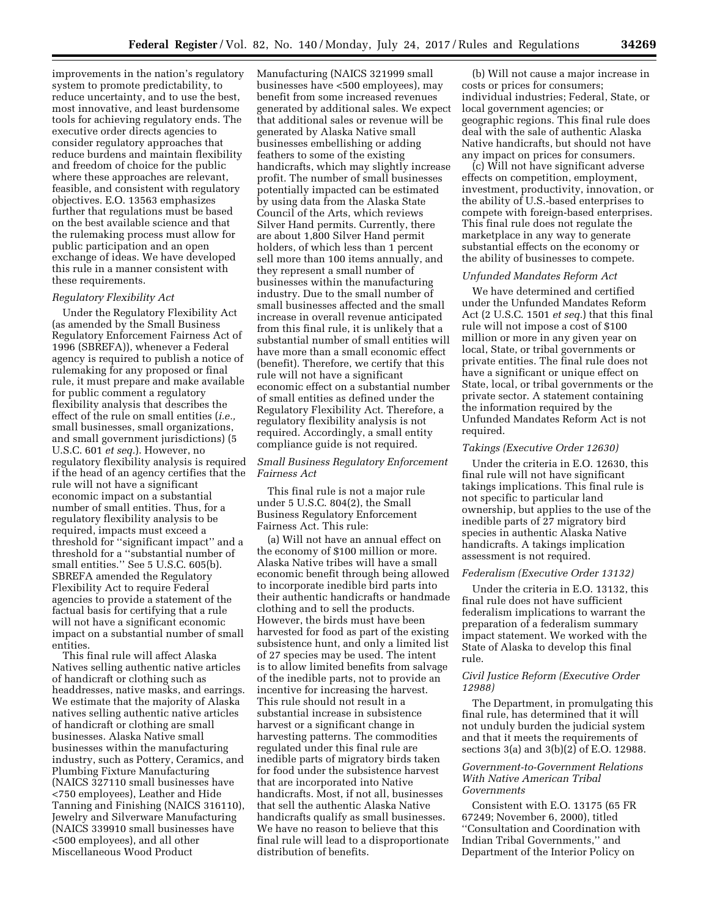improvements in the nation's regulatory system to promote predictability, to reduce uncertainty, and to use the best, most innovative, and least burdensome tools for achieving regulatory ends. The executive order directs agencies to consider regulatory approaches that reduce burdens and maintain flexibility and freedom of choice for the public where these approaches are relevant, feasible, and consistent with regulatory objectives. E.O. 13563 emphasizes further that regulations must be based on the best available science and that the rulemaking process must allow for public participation and an open exchange of ideas. We have developed this rule in a manner consistent with these requirements.

#### *Regulatory Flexibility Act*

Under the Regulatory Flexibility Act (as amended by the Small Business Regulatory Enforcement Fairness Act of 1996 (SBREFA)), whenever a Federal agency is required to publish a notice of rulemaking for any proposed or final rule, it must prepare and make available for public comment a regulatory flexibility analysis that describes the effect of the rule on small entities (*i.e.,*  small businesses, small organizations, and small government jurisdictions) (5 U.S.C. 601 *et seq.*). However, no regulatory flexibility analysis is required if the head of an agency certifies that the rule will not have a significant economic impact on a substantial number of small entities. Thus, for a regulatory flexibility analysis to be required, impacts must exceed a threshold for ''significant impact'' and a threshold for a ''substantial number of small entities.'' See 5 U.S.C. 605(b). SBREFA amended the Regulatory Flexibility Act to require Federal agencies to provide a statement of the factual basis for certifying that a rule will not have a significant economic impact on a substantial number of small entities.

This final rule will affect Alaska Natives selling authentic native articles of handicraft or clothing such as headdresses, native masks, and earrings. We estimate that the majority of Alaska natives selling authentic native articles of handicraft or clothing are small businesses. Alaska Native small businesses within the manufacturing industry, such as Pottery, Ceramics, and Plumbing Fixture Manufacturing (NAICS 327110 small businesses have <750 employees), Leather and Hide Tanning and Finishing (NAICS 316110), Jewelry and Silverware Manufacturing (NAICS 339910 small businesses have <500 employees), and all other Miscellaneous Wood Product

Manufacturing (NAICS 321999 small businesses have <500 employees), may benefit from some increased revenues generated by additional sales. We expect that additional sales or revenue will be generated by Alaska Native small businesses embellishing or adding feathers to some of the existing handicrafts, which may slightly increase profit. The number of small businesses potentially impacted can be estimated by using data from the Alaska State Council of the Arts, which reviews Silver Hand permits. Currently, there are about 1,800 Silver Hand permit holders, of which less than 1 percent sell more than 100 items annually, and they represent a small number of businesses within the manufacturing industry. Due to the small number of small businesses affected and the small increase in overall revenue anticipated from this final rule, it is unlikely that a substantial number of small entities will have more than a small economic effect (benefit). Therefore, we certify that this rule will not have a significant economic effect on a substantial number of small entities as defined under the Regulatory Flexibility Act. Therefore, a regulatory flexibility analysis is not required. Accordingly, a small entity compliance guide is not required.

# *Small Business Regulatory Enforcement Fairness Act*

This final rule is not a major rule under 5 U.S.C. 804(2), the Small Business Regulatory Enforcement Fairness Act. This rule:

(a) Will not have an annual effect on the economy of \$100 million or more. Alaska Native tribes will have a small economic benefit through being allowed to incorporate inedible bird parts into their authentic handicrafts or handmade clothing and to sell the products. However, the birds must have been harvested for food as part of the existing subsistence hunt, and only a limited list of 27 species may be used. The intent is to allow limited benefits from salvage of the inedible parts, not to provide an incentive for increasing the harvest. This rule should not result in a substantial increase in subsistence harvest or a significant change in harvesting patterns. The commodities regulated under this final rule are inedible parts of migratory birds taken for food under the subsistence harvest that are incorporated into Native handicrafts. Most, if not all, businesses that sell the authentic Alaska Native handicrafts qualify as small businesses. We have no reason to believe that this final rule will lead to a disproportionate distribution of benefits.

(b) Will not cause a major increase in costs or prices for consumers; individual industries; Federal, State, or local government agencies; or geographic regions. This final rule does deal with the sale of authentic Alaska Native handicrafts, but should not have any impact on prices for consumers.

(c) Will not have significant adverse effects on competition, employment, investment, productivity, innovation, or the ability of U.S.-based enterprises to compete with foreign-based enterprises. This final rule does not regulate the marketplace in any way to generate substantial effects on the economy or the ability of businesses to compete.

#### *Unfunded Mandates Reform Act*

We have determined and certified under the Unfunded Mandates Reform Act (2 U.S.C. 1501 *et seq.*) that this final rule will not impose a cost of \$100 million or more in any given year on local, State, or tribal governments or private entities. The final rule does not have a significant or unique effect on State, local, or tribal governments or the private sector. A statement containing the information required by the Unfunded Mandates Reform Act is not required.

#### *Takings (Executive Order 12630)*

Under the criteria in E.O. 12630, this final rule will not have significant takings implications. This final rule is not specific to particular land ownership, but applies to the use of the inedible parts of 27 migratory bird species in authentic Alaska Native handicrafts. A takings implication assessment is not required.

#### *Federalism (Executive Order 13132)*

Under the criteria in E.O. 13132, this final rule does not have sufficient federalism implications to warrant the preparation of a federalism summary impact statement. We worked with the State of Alaska to develop this final rule.

# *Civil Justice Reform (Executive Order 12988)*

The Department, in promulgating this final rule, has determined that it will not unduly burden the judicial system and that it meets the requirements of sections 3(a) and 3(b)(2) of E.O. 12988.

# *Government-to-Government Relations With Native American Tribal Governments*

Consistent with E.O. 13175 (65 FR 67249; November 6, 2000), titled ''Consultation and Coordination with Indian Tribal Governments,'' and Department of the Interior Policy on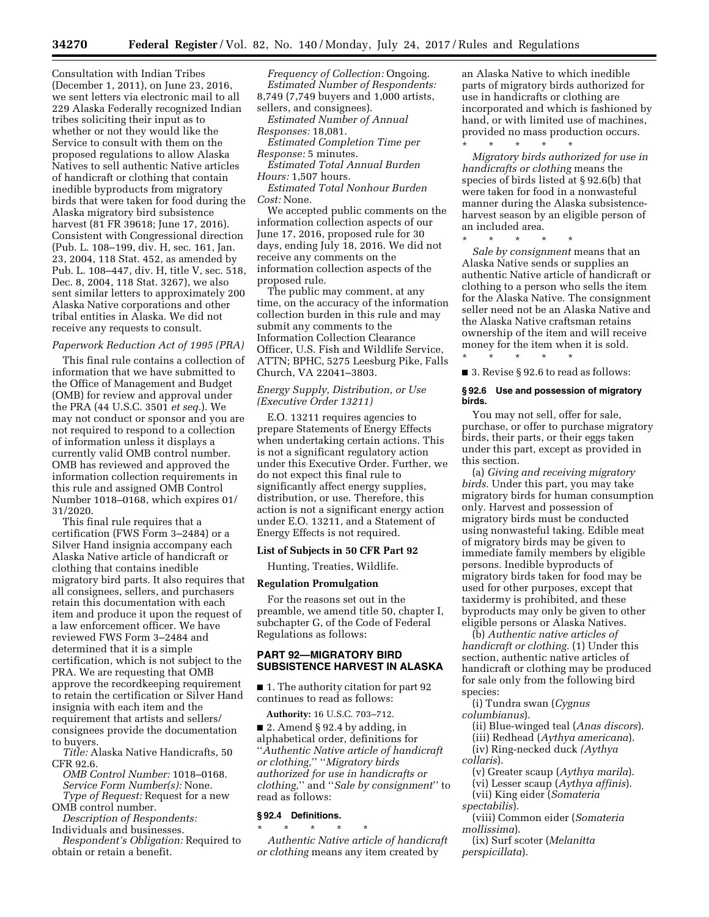Consultation with Indian Tribes (December 1, 2011), on June 23, 2016, we sent letters via electronic mail to all 229 Alaska Federally recognized Indian tribes soliciting their input as to whether or not they would like the Service to consult with them on the proposed regulations to allow Alaska Natives to sell authentic Native articles of handicraft or clothing that contain inedible byproducts from migratory birds that were taken for food during the Alaska migratory bird subsistence harvest (81 FR 39618; June 17, 2016). Consistent with Congressional direction (Pub. L. 108–199, div. H, sec. 161, Jan. 23, 2004, 118 Stat. 452, as amended by Pub. L. 108–447, div. H, title V, sec. 518, Dec. 8, 2004, 118 Stat. 3267), we also sent similar letters to approximately 200 Alaska Native corporations and other tribal entities in Alaska. We did not receive any requests to consult.

## *Paperwork Reduction Act of 1995 (PRA)*

This final rule contains a collection of information that we have submitted to the Office of Management and Budget (OMB) for review and approval under the PRA (44 U.S.C. 3501 *et seq.*). We may not conduct or sponsor and you are not required to respond to a collection of information unless it displays a currently valid OMB control number. OMB has reviewed and approved the information collection requirements in this rule and assigned OMB Control Number 1018–0168, which expires 01/ 31/2020.

This final rule requires that a certification (FWS Form 3–2484) or a Silver Hand insignia accompany each Alaska Native article of handicraft or clothing that contains inedible migratory bird parts. It also requires that all consignees, sellers, and purchasers retain this documentation with each item and produce it upon the request of a law enforcement officer. We have reviewed FWS Form 3–2484 and determined that it is a simple certification, which is not subject to the PRA. We are requesting that OMB approve the recordkeeping requirement to retain the certification or Silver Hand insignia with each item and the requirement that artists and sellers/ consignees provide the documentation to buyers.

*Title:* Alaska Native Handicrafts, 50 CFR 92.6.

*OMB Control Number:* 1018–0168. *Service Form Number(s):* None. *Type of Request:* Request for a new OMB control number.

*Description of Respondents:*  Individuals and businesses.

*Respondent's Obligation:* Required to obtain or retain a benefit.

*Frequency of Collection:* Ongoing. *Estimated Number of Respondents:*  8,749 (7,749 buyers and 1,000 artists, sellers, and consignees).

*Estimated Number of Annual Responses:* 18,081.

*Estimated Completion Time per Response:* 5 minutes.

*Estimated Total Annual Burden Hours:* 1,507 hours.

*Estimated Total Nonhour Burden Cost:* None.

We accepted public comments on the information collection aspects of our June 17, 2016, proposed rule for 30 days, ending July 18, 2016. We did not receive any comments on the information collection aspects of the proposed rule.

The public may comment, at any time, on the accuracy of the information collection burden in this rule and may submit any comments to the Information Collection Clearance Officer, U.S. Fish and Wildlife Service, ATTN; BPHC, 5275 Leesburg Pike, Falls Church, VA 22041–3803.

# *Energy Supply, Distribution, or Use (Executive Order 13211)*

E.O. 13211 requires agencies to prepare Statements of Energy Effects when undertaking certain actions. This is not a significant regulatory action under this Executive Order. Further, we do not expect this final rule to significantly affect energy supplies, distribution, or use. Therefore, this action is not a significant energy action under E.O. 13211, and a Statement of Energy Effects is not required.

# **List of Subjects in 50 CFR Part 92**

Hunting, Treaties, Wildlife.

### **Regulation Promulgation**

For the reasons set out in the preamble, we amend title 50, chapter I, subchapter G, of the Code of Federal Regulations as follows:

# **PART 92—MIGRATORY BIRD SUBSISTENCE HARVEST IN ALASKA**

■ 1. The authority citation for part 92 continues to read as follows:

**Authority:** 16 U.S.C. 703–712.

■ 2. Amend § 92.4 by adding, in alphabetical order, definitions for ''*Authentic Native article of handicraft or clothing,*'' ''*Migratory birds authorized for use in handicrafts or clothing,*'' and ''*Sale by consignment*'' to read as follows:

# **§ 92.4 Definitions.**

\* \* \* \* \* *Authentic Native article of handicraft or clothing* means any item created by

an Alaska Native to which inedible parts of migratory birds authorized for use in handicrafts or clothing are incorporated and which is fashioned by hand, or with limited use of machines, provided no mass production occurs.

\* \* \* \* \* *Migratory birds authorized for use in handicrafts or clothing* means the species of birds listed at § 92.6(b) that were taken for food in a nonwasteful manner during the Alaska subsistenceharvest season by an eligible person of an included area.

\* \* \* \* \*

\* \* \* \* \*

*Sale by consignment* means that an Alaska Native sends or supplies an authentic Native article of handicraft or clothing to a person who sells the item for the Alaska Native. The consignment seller need not be an Alaska Native and the Alaska Native craftsman retains ownership of the item and will receive money for the item when it is sold.

■ 3. Revise § 92.6 to read as follows:

#### **§ 92.6 Use and possession of migratory birds.**

You may not sell, offer for sale, purchase, or offer to purchase migratory birds, their parts, or their eggs taken under this part, except as provided in this section.

(a) *Giving and receiving migratory birds.* Under this part, you may take migratory birds for human consumption only. Harvest and possession of migratory birds must be conducted using nonwasteful taking. Edible meat of migratory birds may be given to immediate family members by eligible persons. Inedible byproducts of migratory birds taken for food may be used for other purposes, except that taxidermy is prohibited, and these byproducts may only be given to other eligible persons or Alaska Natives.

(b) *Authentic native articles of handicraft or clothing.* (1) Under this section, authentic native articles of handicraft or clothing may be produced for sale only from the following bird species:

(i) Tundra swan (*Cygnus columbianus*).

(ii) Blue-winged teal (*Anas discors*).

(iii) Redhead (*Aythya americana*).

(iv) Ring-necked duck *(Aythya collaris*).

(v) Greater scaup (*Aythya marila*).

(vi) Lesser scaup (*Aythya affinis*).

(vii) King eider (*Somateria spectabilis*).

(viii) Common eider (*Somateria mollissima*).

(ix) Surf scoter (*Melanitta perspicillata*).